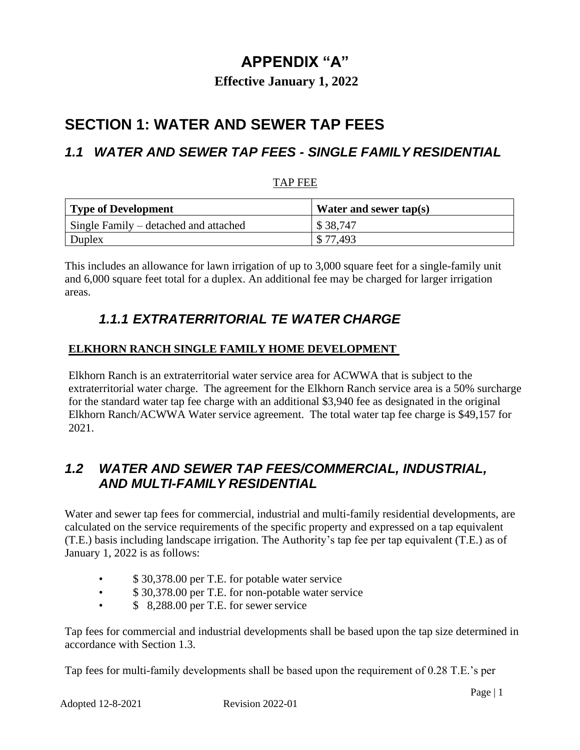# **APPENDIX "A"**

### **Effective January 1, 2022**

# **SECTION 1: WATER AND SEWER TAP FEES**

### *1.1 WATER AND SEWER TAP FEES - SINGLE FAMILY RESIDENTIAL*

#### TAP FEE

| Type of Development                   | Water and sewer tap(s) |
|---------------------------------------|------------------------|
| Single Family – detached and attached | \$38.747               |
| Duplex                                | \$77.493               |

This includes an allowance for lawn irrigation of up to 3,000 square feet for a single-family unit and 6,000 square feet total for a duplex. An additional fee may be charged for larger irrigation areas.

## *1.1.1 EXTRATERRITORIAL TE WATER CHARGE*

#### **ELKHORN RANCH SINGLE FAMILY HOME DEVELOPMENT**

Elkhorn Ranch is an extraterritorial water service area for ACWWA that is subject to the extraterritorial water charge. The agreement for the Elkhorn Ranch service area is a 50% surcharge for the standard water tap fee charge with an additional \$3,940 fee as designated in the original Elkhorn Ranch/ACWWA Water service agreement. The total water tap fee charge is \$49,157 for 2021.

### *1.2 WATER AND SEWER TAP FEES/COMMERCIAL, INDUSTRIAL, AND MULTI-FAMILY RESIDENTIAL*

Water and sewer tap fees for commercial, industrial and multi-family residential developments, are calculated on the service requirements of the specific property and expressed on a tap equivalent (T.E.) basis including landscape irrigation. The Authority's tap fee per tap equivalent (T.E.) as of January 1, 2022 is as follows:

- \$ 30,378.00 per T.E. for potable water service
- \$ 30,378.00 per T.E. for non-potable water service
- \$ 8,288.00 per T.E. for sewer service

Tap fees for commercial and industrial developments shall be based upon the tap size determined in accordance with Section 1.3.

Tap fees for multi-family developments shall be based upon the requirement of 0.28 T.E.'s per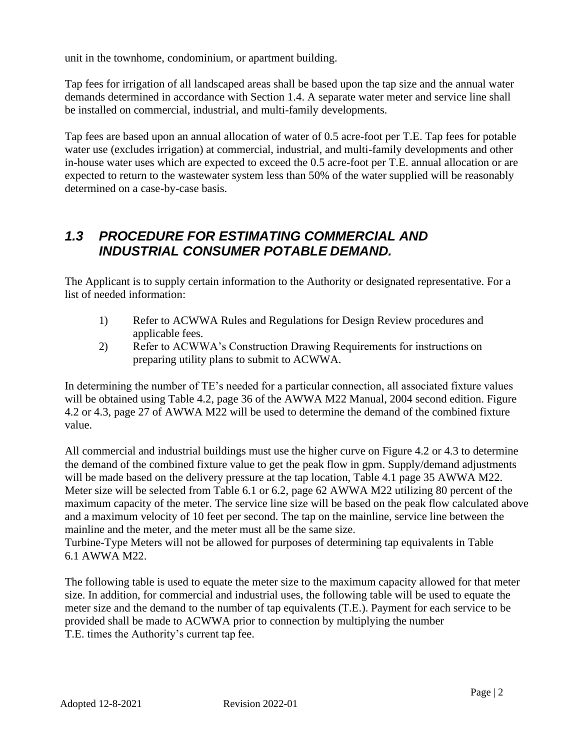unit in the townhome, condominium, or apartment building.

Tap fees for irrigation of all landscaped areas shall be based upon the tap size and the annual water demands determined in accordance with Section 1.4. A separate water meter and service line shall be installed on commercial, industrial, and multi-family developments.

Tap fees are based upon an annual allocation of water of 0.5 acre-foot per T.E. Tap fees for potable water use (excludes irrigation) at commercial, industrial, and multi-family developments and other in-house water uses which are expected to exceed the 0.5 acre-foot per T.E. annual allocation or are expected to return to the wastewater system less than 50% of the water supplied will be reasonably determined on a case-by-case basis.

### *1.3 PROCEDURE FOR ESTIMATING COMMERCIAL AND INDUSTRIAL CONSUMER POTABLE DEMAND.*

The Applicant is to supply certain information to the Authority or designated representative. For a list of needed information:

- 1) Refer to ACWWA Rules and Regulations for Design Review procedures and applicable fees.
- 2) Refer to ACWWA's Construction Drawing Requirements for instructions on preparing utility plans to submit to ACWWA.

In determining the number of TE's needed for a particular connection, all associated fixture values will be obtained using Table 4.2, page 36 of the AWWA M22 Manual, 2004 second edition. Figure 4.2 or 4.3, page 27 of AWWA M22 will be used to determine the demand of the combined fixture value.

All commercial and industrial buildings must use the higher curve on Figure 4.2 or 4.3 to determine the demand of the combined fixture value to get the peak flow in gpm. Supply/demand adjustments will be made based on the delivery pressure at the tap location, Table 4.1 page 35 AWWA M22. Meter size will be selected from Table 6.1 or 6.2, page 62 AWWA M22 utilizing 80 percent of the maximum capacity of the meter. The service line size will be based on the peak flow calculated above and a maximum velocity of 10 feet per second. The tap on the mainline, service line between the mainline and the meter, and the meter must all be the same size.

Turbine-Type Meters will not be allowed for purposes of determining tap equivalents in Table 6.1 AWWA M22.

The following table is used to equate the meter size to the maximum capacity allowed for that meter size. In addition, for commercial and industrial uses, the following table will be used to equate the meter size and the demand to the number of tap equivalents (T.E.). Payment for each service to be provided shall be made to ACWWA prior to connection by multiplying the number T.E. times the Authority's current tap fee.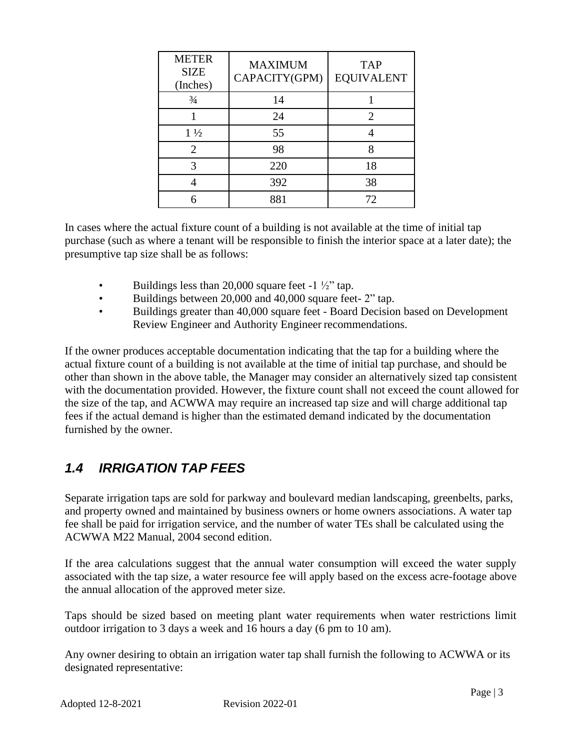| <b>METER</b><br><b>SIZE</b><br>(Inches) | <b>MAXIMUM</b><br>CAPACITY(GPM) | <b>TAP</b><br><b>EQUIVALENT</b> |
|-----------------------------------------|---------------------------------|---------------------------------|
| $\frac{3}{4}$                           | 14                              |                                 |
|                                         | 24                              | 2                               |
| $1\frac{1}{2}$                          | 55                              |                                 |
| $\overline{2}$                          | 98                              | Ջ                               |
| 3                                       | 220                             | 18                              |
|                                         | 392                             | 38                              |
|                                         | 881                             | 72                              |

In cases where the actual fixture count of a building is not available at the time of initial tap purchase (such as where a tenant will be responsible to finish the interior space at a later date); the presumptive tap size shall be as follows:

- Buildings less than 20,000 square feet  $-1\frac{1}{2}$  tap.
- Buildings between 20,000 and 40,000 square feet- 2" tap.
- Buildings greater than 40,000 square feet Board Decision based on Development Review Engineer and Authority Engineer recommendations.

If the owner produces acceptable documentation indicating that the tap for a building where the actual fixture count of a building is not available at the time of initial tap purchase, and should be other than shown in the above table, the Manager may consider an alternatively sized tap consistent with the documentation provided. However, the fixture count shall not exceed the count allowed for the size of the tap, and ACWWA may require an increased tap size and will charge additional tap fees if the actual demand is higher than the estimated demand indicated by the documentation furnished by the owner.

# *1.4 IRRIGATION TAP FEES*

Separate irrigation taps are sold for parkway and boulevard median landscaping, greenbelts, parks, and property owned and maintained by business owners or home owners associations. A water tap fee shall be paid for irrigation service, and the number of water TEs shall be calculated using the ACWWA M22 Manual, 2004 second edition.

If the area calculations suggest that the annual water consumption will exceed the water supply associated with the tap size, a water resource fee will apply based on the excess acre-footage above the annual allocation of the approved meter size.

Taps should be sized based on meeting plant water requirements when water restrictions limit outdoor irrigation to 3 days a week and 16 hours a day (6 pm to 10 am).

Any owner desiring to obtain an irrigation water tap shall furnish the following to ACWWA or its designated representative: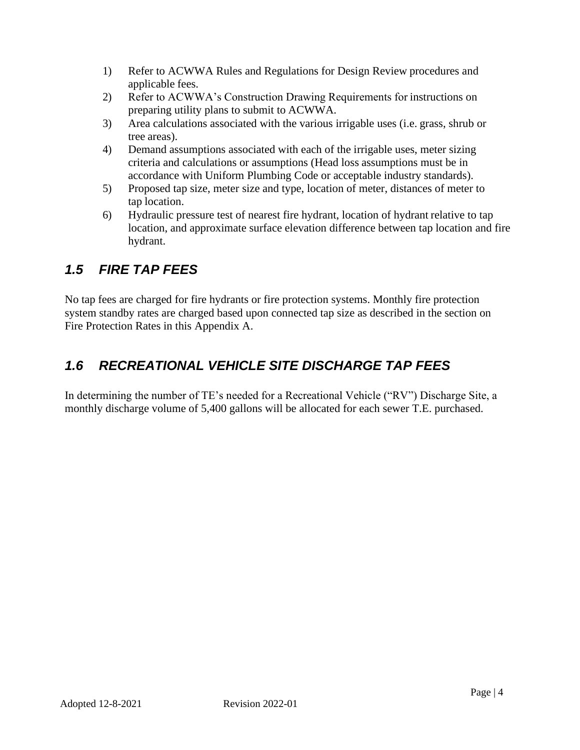- 1) Refer to ACWWA Rules and Regulations for Design Review procedures and applicable fees.
- 2) Refer to ACWWA's Construction Drawing Requirements for instructions on preparing utility plans to submit to ACWWA.
- 3) Area calculations associated with the various irrigable uses (i.e. grass, shrub or tree areas).
- 4) Demand assumptions associated with each of the irrigable uses, meter sizing criteria and calculations or assumptions (Head loss assumptions must be in accordance with Uniform Plumbing Code or acceptable industry standards).
- 5) Proposed tap size, meter size and type, location of meter, distances of meter to tap location.
- 6) Hydraulic pressure test of nearest fire hydrant, location of hydrant relative to tap location, and approximate surface elevation difference between tap location and fire hydrant.

## *1.5 FIRE TAP FEES*

No tap fees are charged for fire hydrants or fire protection systems. Monthly fire protection system standby rates are charged based upon connected tap size as described in the section on Fire Protection Rates in this Appendix A.

# *1.6 RECREATIONAL VEHICLE SITE DISCHARGE TAP FEES*

In determining the number of TE's needed for a Recreational Vehicle ("RV") Discharge Site, a monthly discharge volume of 5,400 gallons will be allocated for each sewer T.E. purchased.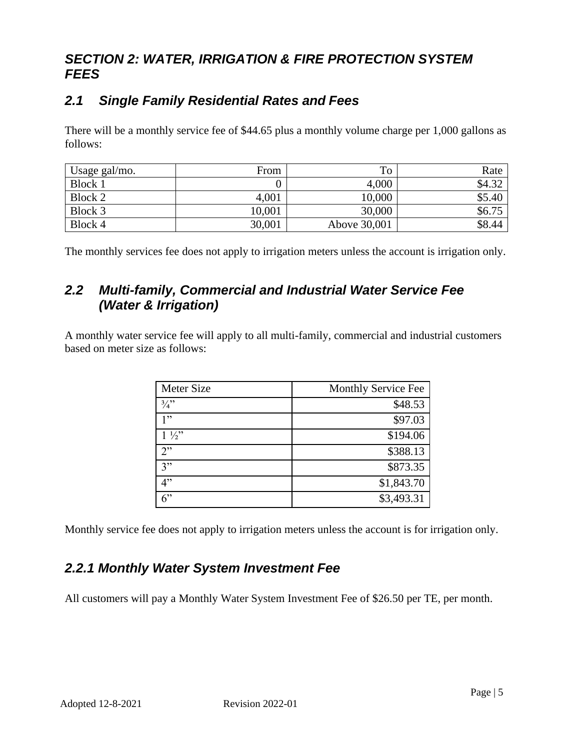## *SECTION 2: WATER, IRRIGATION & FIRE PROTECTION SYSTEM FEES*

## *2.1 Single Family Residential Rates and Fees*

There will be a monthly service fee of \$44.65 plus a monthly volume charge per 1,000 gallons as follows:

| Usage gal/mo. | From   | To           | Rate   |
|---------------|--------|--------------|--------|
| Block 1       |        | 4,000        | \$4.32 |
| Block 2       | 4,001  | 10,000       | \$5.40 |
| Block 3       | 10,001 | 30,000       | \$6.75 |
| Block 4       | 30,001 | Above 30,001 | \$8.44 |

The monthly services fee does not apply to irrigation meters unless the account is irrigation only.

### *2.2 Multi-family, Commercial and Industrial Water Service Fee (Water & Irrigation)*

A monthly water service fee will apply to all multi-family, commercial and industrial customers based on meter size as follows:

| Meter Size     | Monthly Service Fee |
|----------------|---------------------|
| 3/3            | \$48.53             |
| 1, 22          | \$97.03             |
| $1\frac{1}{2}$ | \$194.06            |
| 2              | \$388.13            |
| 3"             | \$873.35            |
| 4"             | \$1,843.70          |
| $6$ "          | \$3,493.31          |

Monthly service fee does not apply to irrigation meters unless the account is for irrigation only.

## *2.2.1 Monthly Water System Investment Fee*

All customers will pay a Monthly Water System Investment Fee of \$26.50 per TE, per month.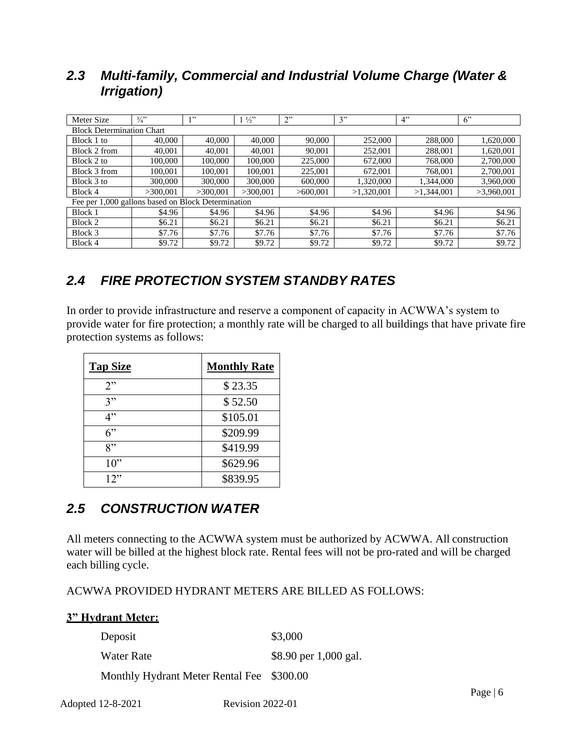### *2.3 Multi-family, Commercial and Industrial Volume Charge (Water & Irrigation)*

| Meter Size                                         | 3/4"                             | 1, 22    | $1\frac{1}{2}$ | 2"       | 3"         | 4"         | 6"         |
|----------------------------------------------------|----------------------------------|----------|----------------|----------|------------|------------|------------|
|                                                    | <b>Block Determination Chart</b> |          |                |          |            |            |            |
| Block 1 to                                         | 40,000                           | 40,000   | 40,000         | 90,000   | 252,000    | 288,000    | 1,620,000  |
| Block 2 from                                       | 40,001                           | 40,001   | 40,001         | 90,001   | 252,001    | 288,001    | 1,620,001  |
| Block 2 to                                         | 100,000                          | 100,000  | 100,000        | 225,000  | 672,000    | 768,000    | 2,700,000  |
| Block 3 from                                       | 100,001                          | 100,001  | 100.001        | 225,001  | 672,001    | 768,001    | 2,700,001  |
| Block 3 to                                         | 300,000                          | 300,000  | 300,000        | 600,000  | 1,320,000  | 1,344,000  | 3,960,000  |
| Block 4                                            | >300.001                         | >300.001 | >300,001       | >600.001 | >1,320,001 | >1,344,001 | >3,960,001 |
| Fee per 1,000 gallons based on Block Determination |                                  |          |                |          |            |            |            |
| Block 1                                            | \$4.96                           | \$4.96   | \$4.96         | \$4.96   | \$4.96     | \$4.96     | \$4.96     |
| Block 2                                            | \$6.21                           | \$6.21   | \$6.21         | \$6.21   | \$6.21     | \$6.21     | \$6.21     |
| Block 3                                            | \$7.76                           | \$7.76   | \$7.76         | \$7.76   | \$7.76     | \$7.76     | \$7.76     |
| Block 4                                            | \$9.72                           | \$9.72   | \$9.72         | \$9.72   | \$9.72     | \$9.72     | \$9.72     |

# *2.4 FIRE PROTECTION SYSTEM STANDBY RATES*

In order to provide infrastructure and reserve a component of capacity in ACWWA's system to provide water for fire protection; a monthly rate will be charged to all buildings that have private fire protection systems as follows:

| <b>Tap Size</b> | <b>Monthly Rate</b> |
|-----------------|---------------------|
| 2               | \$23.35             |
| 3"              | \$52.50             |
| 4"              | \$105.01            |
| 6"              | \$209.99            |
| $\mathsf{R}$ "  | \$419.99            |
| $10$ "          | \$629.96            |
| 12"             | \$839.95            |

## *2.5 CONSTRUCTION WATER*

All meters connecting to the ACWWA system must be authorized by ACWWA. All construction water will be billed at the highest block rate. Rental fees will not be pro-rated and will be charged each billing cycle.

ACWWA PROVIDED HYDRANT METERS ARE BILLED AS FOLLOWS:

#### **3" Hydrant Meter:**

| Deposit                                   | \$3,000               |
|-------------------------------------------|-----------------------|
| Water Rate                                | \$8.90 per 1,000 gal. |
| Monthly Hydrant Meter Rental Fee \$300.00 |                       |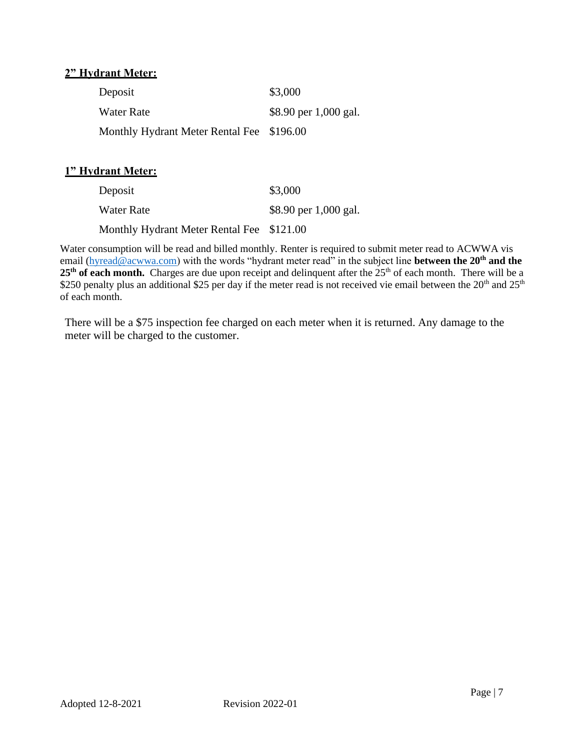#### **2" Hydrant Meter:**

| Deposit                                   | \$3,000               |
|-------------------------------------------|-----------------------|
| Water Rate                                | \$8.90 per 1,000 gal. |
| Monthly Hydrant Meter Rental Fee \$196.00 |                       |

#### **1" Hydrant Meter:**

| Deposit                                   | \$3,000               |
|-------------------------------------------|-----------------------|
| Water Rate                                | \$8.90 per 1,000 gal. |
| Monthly Hydrant Meter Rental Fee \$121.00 |                       |

Water consumption will be read and billed monthly. Renter is required to submit meter read to ACWWA vis email [\(hyread@acwwa.com\)](mailto:hyread@acwwa.com) with the words "hydrant meter read" in the subject line **between the 20th and the**  25<sup>th</sup> of each month. Charges are due upon receipt and delinquent after the 25<sup>th</sup> of each month. There will be a \$250 penalty plus an additional \$25 per day if the meter read is not received vie email between the 20<sup>th</sup> and 25<sup>th</sup> of each month.

There will be a \$75 inspection fee charged on each meter when it is returned. Any damage to the meter will be charged to the customer.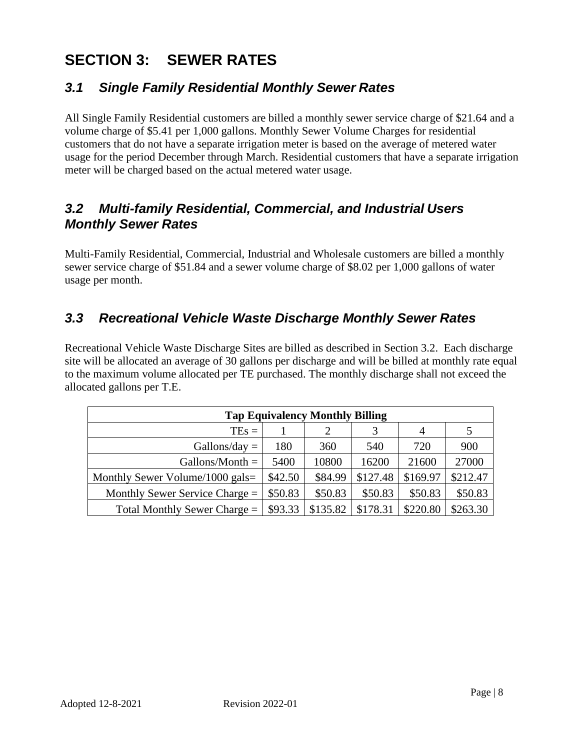# **SECTION 3: SEWER RATES**

### *3.1 Single Family Residential Monthly Sewer Rates*

All Single Family Residential customers are billed a monthly sewer service charge of \$21.64 and a volume charge of \$5.41 per 1,000 gallons. Monthly Sewer Volume Charges for residential customers that do not have a separate irrigation meter is based on the average of metered water usage for the period December through March. Residential customers that have a separate irrigation meter will be charged based on the actual metered water usage.

### *3.2 Multi-family Residential, Commercial, and Industrial Users Monthly Sewer Rates*

Multi-Family Residential, Commercial, Industrial and Wholesale customers are billed a monthly sewer service charge of \$51.84 and a sewer volume charge of \$8.02 per 1,000 gallons of water usage per month.

### *3.3 Recreational Vehicle Waste Discharge Monthly Sewer Rates*

Recreational Vehicle Waste Discharge Sites are billed as described in Section 3.2. Each discharge site will be allocated an average of 30 gallons per discharge and will be billed at monthly rate equal to the maximum volume allocated per TE purchased. The monthly discharge shall not exceed the allocated gallons per T.E.

| <b>Tap Equivalency Monthly Billing</b> |         |          |          |          |          |
|----------------------------------------|---------|----------|----------|----------|----------|
| $TEs =$                                |         | 2        | 3        | 4        |          |
| $Gallons/day =$                        | 180     | 360      | 540      | 720      | 900      |
| Gallons/Month $=$                      | 5400    | 10800    | 16200    | 21600    | 27000    |
| Monthly Sewer Volume/1000 gals=        | \$42.50 | \$84.99  | \$127.48 | \$169.97 | \$212.47 |
| Monthly Sewer Service Charge $=$       | \$50.83 | \$50.83  | \$50.83  | \$50.83  | \$50.83  |
| Total Monthly Sewer Charge $=$         | \$93.33 | \$135.82 | \$178.31 | \$220.80 | \$263.30 |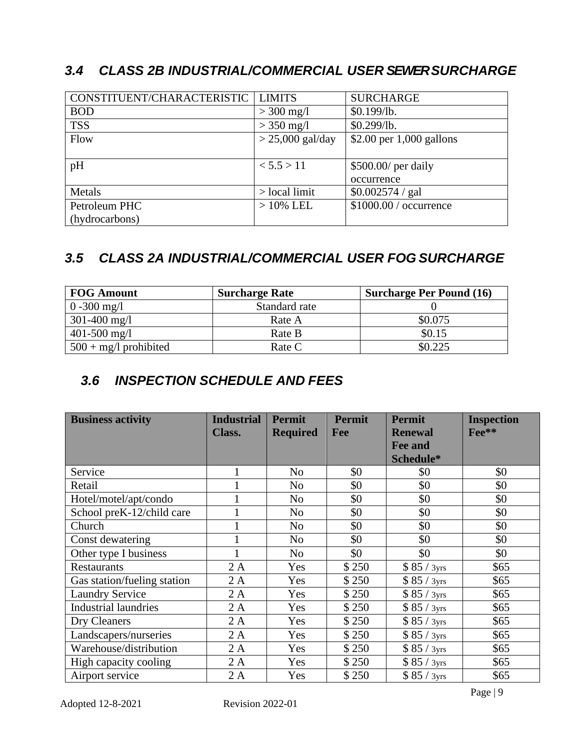## *3.4 CLASS 2B INDUSTRIAL/COMMERCIAL USER SEWER SURCHARGE*

| CONSTITUENT/CHARACTERISTIC | <b>LIMITS</b>      | <b>SURCHARGE</b>           |
|----------------------------|--------------------|----------------------------|
| <b>BOD</b>                 | $> 300$ mg/l       | \$0.199/lb.                |
| <b>TSS</b>                 | $>$ 350 mg/l       | \$0.299/b.                 |
| Flow                       | $> 25,000$ gal/day | \$2.00 per $1,000$ gallons |
|                            |                    |                            |
| pH                         | < 5.5 > 11         | \$500.00/ per daily        |
|                            |                    | occurrence                 |
| Metals                     | $>$ local limit    | \$0.002574 / gal           |
| Petroleum PHC              | $>10\%$ LEL        | \$1000.00 / occurrence     |
| (hydrocarbons)             |                    |                            |

# *3.5 CLASS 2A INDUSTRIAL/COMMERCIAL USER FOG SURCHARGE*

| <b>FOG Amount</b>       | <b>Surcharge Rate</b> | <b>Surcharge Per Pound (16)</b> |
|-------------------------|-----------------------|---------------------------------|
| $0 - 300$ mg/l          | Standard rate         |                                 |
| $301-400$ mg/l          | Rate A                | \$0.075                         |
| $401 - 500$ mg/l        | Rate B                | \$0.15                          |
| $500 + mg/l$ prohibited | Rate C                | \$0.225                         |

## *3.6 INSPECTION SCHEDULE AND FEES*

| <b>Business activity</b>    | <b>Industrial</b> | <b>Permit</b>   | <b>Permit</b> | <b>Permit</b>  | <b>Inspection</b> |
|-----------------------------|-------------------|-----------------|---------------|----------------|-------------------|
|                             | <b>Class.</b>     | <b>Required</b> | Fee           | <b>Renewal</b> | Fee**             |
|                             |                   |                 |               | <b>Fee and</b> |                   |
|                             |                   |                 |               | Schedule*      |                   |
| Service                     |                   | N <sub>0</sub>  | \$0           | \$0            | \$0               |
| Retail                      |                   | N <sub>o</sub>  | \$0           | \$0            | \$0               |
| Hotel/motel/apt/condo       |                   | N <sub>o</sub>  | \$0           | \$0            | \$0               |
| School preK-12/child care   |                   | N <sub>o</sub>  | \$0           | \$0            | \$0               |
| Church                      |                   | N <sub>o</sub>  | \$0           | \$0            | \$0               |
| Const dewatering            |                   | N <sub>0</sub>  | \$0           | \$0            | \$0               |
| Other type I business       |                   | N <sub>0</sub>  | \$0           | \$0            | \$0               |
| <b>Restaurants</b>          | 2A                | Yes             | \$250         | \$85 / 3yrs    | \$65              |
| Gas station/fueling station | 2A                | Yes             | \$250         | \$85 / 3yrs    | \$65              |
| <b>Laundry Service</b>      | 2A                | Yes             | \$250         | \$85 / 3yrs    | \$65              |
| <b>Industrial laundries</b> | 2A                | Yes             | \$250         | \$85 / 3yrs    | \$65              |
| Dry Cleaners                | 2A                | Yes             | \$250         | \$85/3yrs      | \$65              |
| Landscapers/nurseries       | 2A                | Yes             | \$250         | \$85/3yrs      | \$65              |
| Warehouse/distribution      | 2A                | Yes             | \$250         | \$85/3yrs      | \$65              |
| High capacity cooling       | 2A                | Yes             | \$250         | \$85 / 3yrs    | \$65              |
| Airport service             | 2A                | Yes             | \$250         | \$85/3yrs      | \$65              |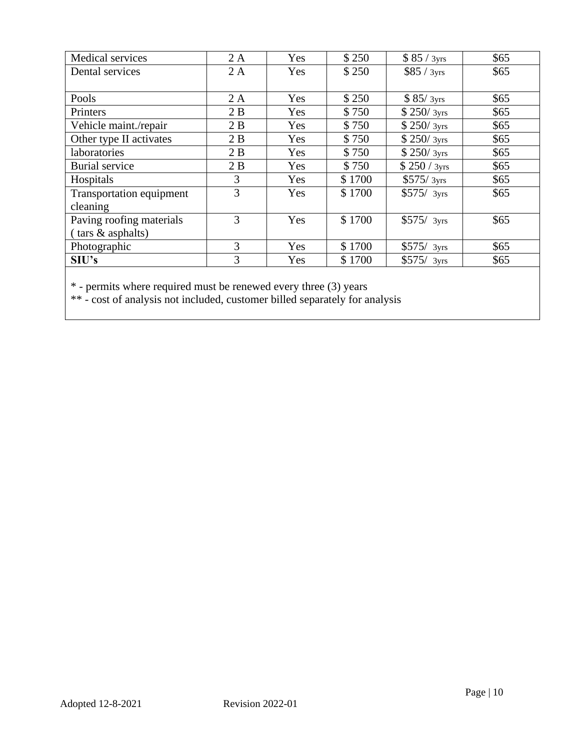| Medical services                                                 | 2A | Yes | \$250  | \$85 / 3yrs  | \$65 |
|------------------------------------------------------------------|----|-----|--------|--------------|------|
| Dental services                                                  | 2A | Yes | \$250  | \$85 / 3yrs  | \$65 |
|                                                                  |    |     |        |              |      |
| Pools                                                            | 2A | Yes | \$250  | \$85/3yrs    | \$65 |
| Printers                                                         | 2B | Yes | \$750  | \$250/3yrs   | \$65 |
| Vehicle maint./repair                                            | 2B | Yes | \$750  | \$250/3yrs   | \$65 |
| Other type II activates                                          | 2B | Yes | \$750  | \$250/3yrs   | \$65 |
| laboratories                                                     | 2B | Yes | \$750  | \$250/3yrs   | \$65 |
| <b>Burial</b> service                                            | 2B | Yes | \$750  | \$250 / 3yrs | \$65 |
| Hospitals                                                        | 3  | Yes | \$1700 | \$575/3yrs   | \$65 |
| Transportation equipment                                         | 3  | Yes | \$1700 | $$575/$ 3yrs | \$65 |
| cleaning                                                         |    |     |        |              |      |
| Paving roofing materials                                         | 3  | Yes | \$1700 | $$575/$ 3yrs | \$65 |
| (tars & asphalts)                                                |    |     |        |              |      |
| Photographic                                                     | 3  | Yes | \$1700 | \$575/3yrs   | \$65 |
| S <sub>IV</sub> 's                                               | 3  | Yes | \$1700 | $$575/$ 3yrs | \$65 |
|                                                                  |    |     |        |              |      |
| * - permits where required must be renewed every three (3) years |    |     |        |              |      |

\*\* - cost of analysis not included, customer billed separately for analysis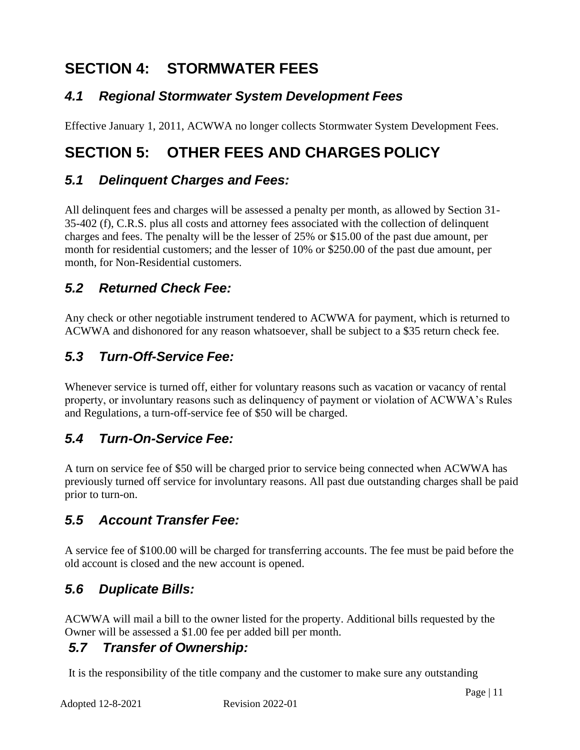# **SECTION 4: STORMWATER FEES**

## *4.1 Regional Stormwater System Development Fees*

Effective January 1, 2011, ACWWA no longer collects Stormwater System Development Fees.

# **SECTION 5: OTHER FEES AND CHARGES POLICY**

### *5.1 Delinquent Charges and Fees:*

All delinquent fees and charges will be assessed a penalty per month, as allowed by Section 31- 35-402 (f), C.R.S. plus all costs and attorney fees associated with the collection of delinquent charges and fees. The penalty will be the lesser of 25% or \$15.00 of the past due amount, per month for residential customers; and the lesser of 10% or \$250.00 of the past due amount, per month, for Non-Residential customers.

### *5.2 Returned Check Fee:*

Any check or other negotiable instrument tendered to ACWWA for payment, which is returned to ACWWA and dishonored for any reason whatsoever, shall be subject to a \$35 return check fee.

### *5.3 Turn-Off-Service Fee:*

Whenever service is turned off, either for voluntary reasons such as vacation or vacancy of rental property, or involuntary reasons such as delinquency of payment or violation of ACWWA's Rules and Regulations, a turn-off-service fee of \$50 will be charged.

## *5.4 Turn-On-Service Fee:*

A turn on service fee of \$50 will be charged prior to service being connected when ACWWA has previously turned off service for involuntary reasons. All past due outstanding charges shall be paid prior to turn-on.

## *5.5 Account Transfer Fee:*

A service fee of \$100.00 will be charged for transferring accounts. The fee must be paid before the old account is closed and the new account is opened.

## *5.6 Duplicate Bills:*

ACWWA will mail a bill to the owner listed for the property. Additional bills requested by the Owner will be assessed a \$1.00 fee per added bill per month.

### *5.7 Transfer of Ownership:*

It is the responsibility of the title company and the customer to make sure any outstanding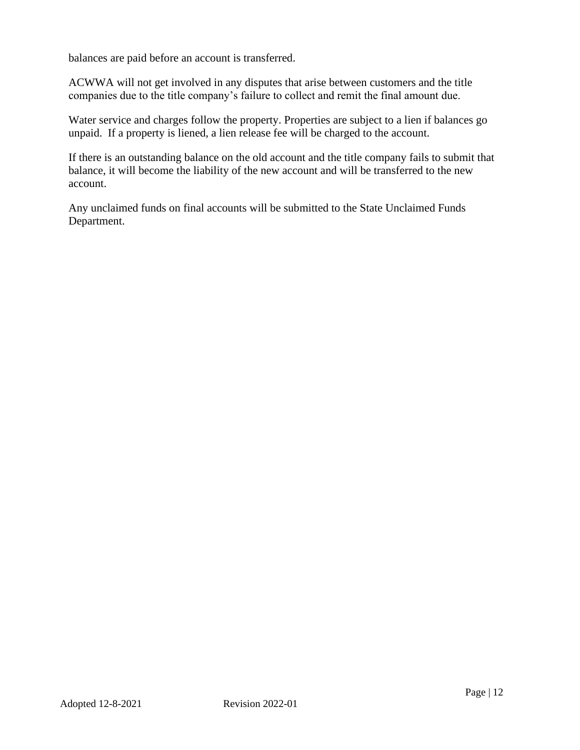balances are paid before an account is transferred.

ACWWA will not get involved in any disputes that arise between customers and the title companies due to the title company's failure to collect and remit the final amount due.

Water service and charges follow the property. Properties are subject to a lien if balances go unpaid. If a property is liened, a lien release fee will be charged to the account.

If there is an outstanding balance on the old account and the title company fails to submit that balance, it will become the liability of the new account and will be transferred to the new account.

Any unclaimed funds on final accounts will be submitted to the State Unclaimed Funds Department.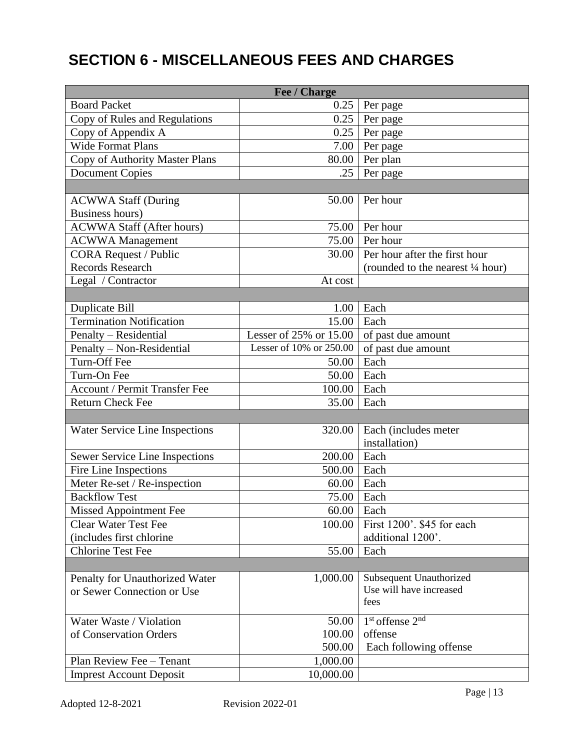# **SECTION 6 - MISCELLANEOUS FEES AND CHARGES**

| Fee / Charge                         |                         |                                         |  |  |  |
|--------------------------------------|-------------------------|-----------------------------------------|--|--|--|
| <b>Board Packet</b>                  | 0.25                    | Per page                                |  |  |  |
| Copy of Rules and Regulations        | 0.25                    | Per page                                |  |  |  |
| Copy of Appendix A                   | 0.25                    | Per page                                |  |  |  |
| <b>Wide Format Plans</b>             | 7.00                    | Per page                                |  |  |  |
| Copy of Authority Master Plans       | 80.00                   | Per plan                                |  |  |  |
| <b>Document Copies</b>               | .25                     | Per page                                |  |  |  |
|                                      |                         |                                         |  |  |  |
| <b>ACWWA Staff (During</b>           | 50.00                   | Per hour                                |  |  |  |
| <b>Business hours)</b>               |                         |                                         |  |  |  |
| <b>ACWWA Staff (After hours)</b>     | 75.00                   | Per hour                                |  |  |  |
| <b>ACWWA</b> Management              | 75.00                   | Per hour                                |  |  |  |
| <b>CORA Request / Public</b>         | 30.00                   | Per hour after the first hour           |  |  |  |
| <b>Records Research</b>              |                         | (rounded to the nearest 1/4 hour)       |  |  |  |
| Legal / Contractor                   | At cost                 |                                         |  |  |  |
|                                      |                         |                                         |  |  |  |
| Duplicate Bill                       | 1.00                    | Each                                    |  |  |  |
| <b>Termination Notification</b>      | 15.00                   | Each                                    |  |  |  |
| Penalty – Residential                | Lesser of 25% or 15.00  | of past due amount                      |  |  |  |
| Penalty - Non-Residential            | Lesser of 10% or 250.00 | of past due amount                      |  |  |  |
| Turn-Off Fee                         | 50.00                   | Each                                    |  |  |  |
| Turn-On Fee                          | 50.00                   | Each                                    |  |  |  |
| <b>Account / Permit Transfer Fee</b> | 100.00                  | Each                                    |  |  |  |
| <b>Return Check Fee</b>              | 35.00                   | Each                                    |  |  |  |
|                                      |                         |                                         |  |  |  |
| Water Service Line Inspections       | 320.00                  | Each (includes meter                    |  |  |  |
|                                      |                         | installation)                           |  |  |  |
| Sewer Service Line Inspections       | 200.00                  | Each                                    |  |  |  |
| Fire Line Inspections                | 500.00                  | Each                                    |  |  |  |
| Meter Re-set / Re-inspection         | 60.00                   | Each                                    |  |  |  |
| <b>Backflow Test</b>                 | 75.00                   | Each                                    |  |  |  |
| <b>Missed Appointment Fee</b>        | 60.00                   | Each                                    |  |  |  |
| <b>Clear Water Test Fee</b>          | 100.00                  | First 1200'. \$45 for each              |  |  |  |
| (includes first chlorine             |                         | additional 1200'.                       |  |  |  |
| <b>Chlorine Test Fee</b>             | 55.00                   | Each                                    |  |  |  |
|                                      |                         |                                         |  |  |  |
| Penalty for Unauthorized Water       | 1,000.00                | Subsequent Unauthorized                 |  |  |  |
| or Sewer Connection or Use           |                         | Use will have increased                 |  |  |  |
|                                      |                         | fees                                    |  |  |  |
| Water Waste / Violation              | 50.00                   | 1 <sup>st</sup> offense 2 <sup>nd</sup> |  |  |  |
| of Conservation Orders               | 100.00                  | offense                                 |  |  |  |
|                                      | 500.00                  | Each following offense                  |  |  |  |
| Plan Review Fee - Tenant             | 1,000.00                |                                         |  |  |  |
| <b>Imprest Account Deposit</b>       | 10,000.00               |                                         |  |  |  |